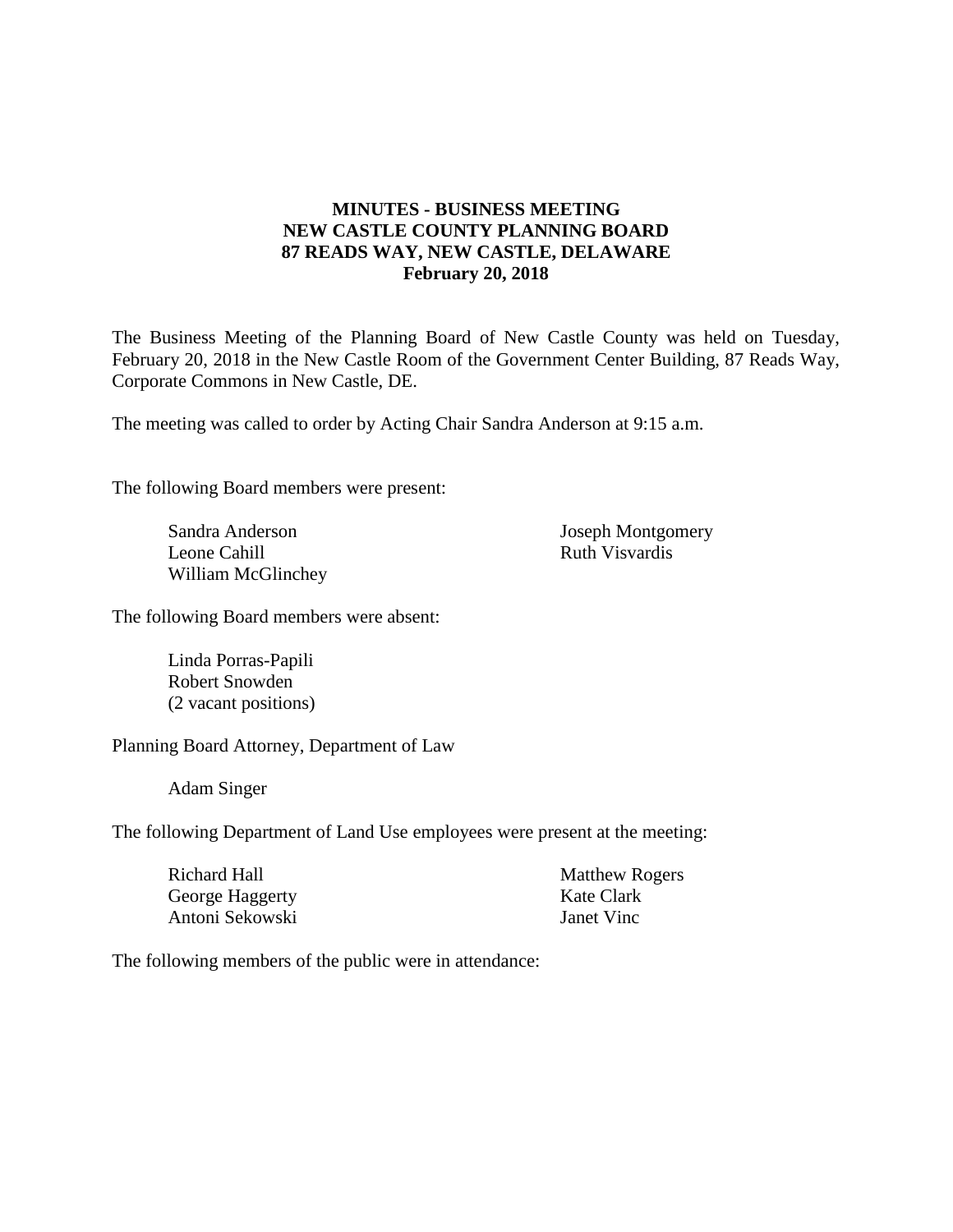# **MINUTES - BUSINESS MEETING NEW CASTLE COUNTY PLANNING BOARD 87 READS WAY, NEW CASTLE, DELAWARE February 20, 2018**

The Business Meeting of the Planning Board of New Castle County was held on Tuesday, February 20, 2018 in the New Castle Room of the Government Center Building, 87 Reads Way, Corporate Commons in New Castle, DE.

The meeting was called to order by Acting Chair Sandra Anderson at 9:15 a.m.

The following Board members were present:

Sandra Anderson Leone Cahill William McGlinchey Joseph Montgomery Ruth Visvardis

The following Board members were absent:

Linda Porras-Papili Robert Snowden (2 vacant positions)

Planning Board Attorney, Department of Law

Adam Singer

The following Department of Land Use employees were present at the meeting:

| Richard Hall    | <b>Matthew Rogers</b> |
|-----------------|-----------------------|
| George Haggerty | Kate Clark            |
| Antoni Sekowski | Janet Vinc            |

The following members of the public were in attendance: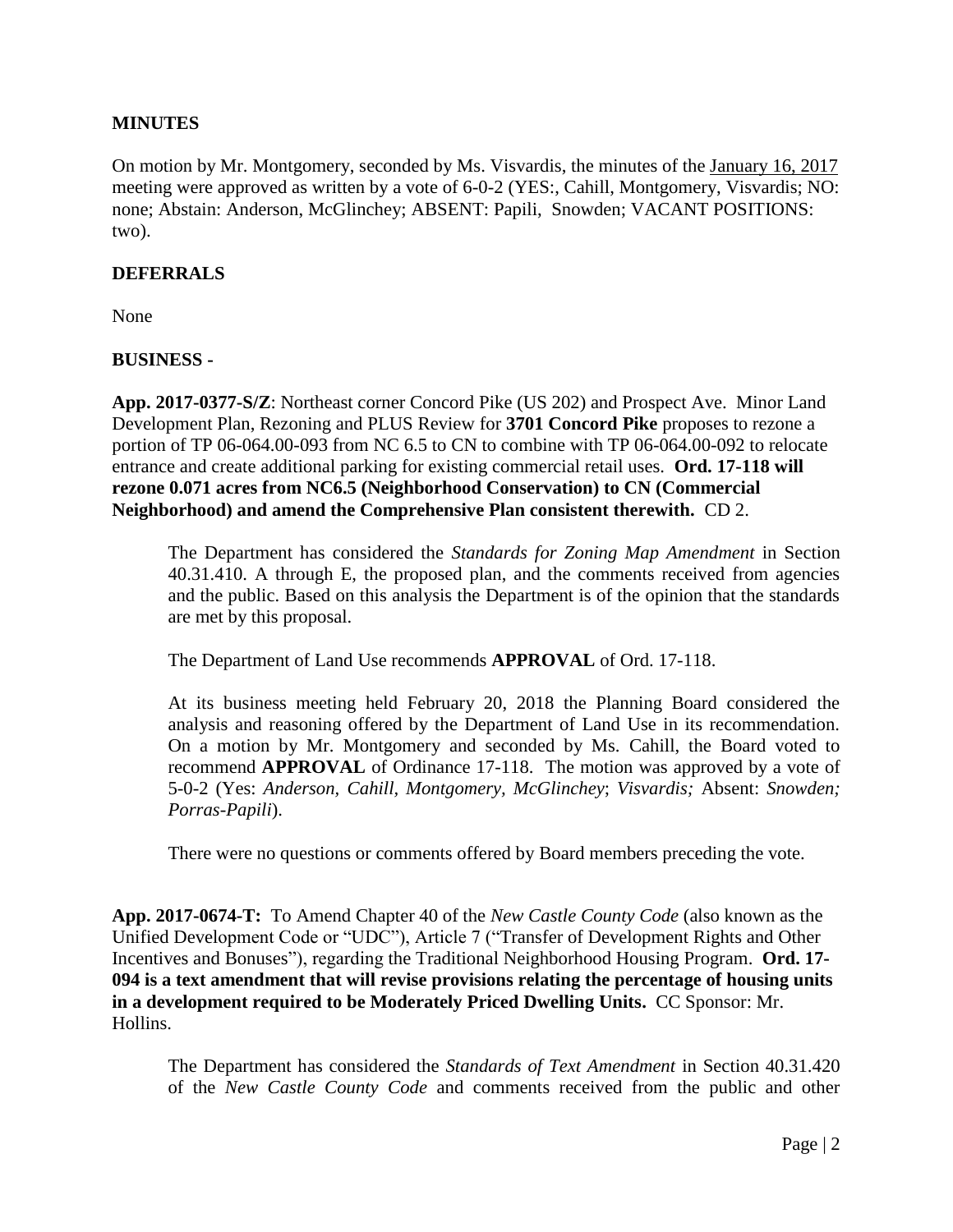# **MINUTES**

On motion by Mr. Montgomery, seconded by Ms. Visvardis, the minutes of the January 16, 2017 meeting were approved as written by a vote of 6-0-2 (YES:, Cahill, Montgomery, Visvardis; NO: none; Abstain: Anderson, McGlinchey; ABSENT: Papili, Snowden; VACANT POSITIONS: two).

### **DEFERRALS**

None

### **BUSINESS -**

**App. 2017-0377-S/Z**: Northeast corner Concord Pike (US 202) and Prospect Ave. Minor Land Development Plan, Rezoning and PLUS Review for **3701 Concord Pike** proposes to rezone a portion of TP 06-064.00-093 from NC 6.5 to CN to combine with TP 06-064.00-092 to relocate entrance and create additional parking for existing commercial retail uses. **Ord. 17-118 will rezone 0.071 acres from NC6.5 (Neighborhood Conservation) to CN (Commercial Neighborhood) and amend the Comprehensive Plan consistent therewith.** CD 2.

The Department has considered the *Standards for Zoning Map Amendment* in Section 40.31.410. A through E, the proposed plan, and the comments received from agencies and the public. Based on this analysis the Department is of the opinion that the standards are met by this proposal.

The Department of Land Use recommends **APPROVAL** of Ord. 17-118.

At its business meeting held February 20, 2018 the Planning Board considered the analysis and reasoning offered by the Department of Land Use in its recommendation. On a motion by Mr. Montgomery and seconded by Ms. Cahill, the Board voted to recommend **APPROVAL** of Ordinance 17-118. The motion was approved by a vote of 5-0-2 (Yes: *Anderson, Cahill, Montgomery, McGlinchey*; *Visvardis;* Absent: *Snowden; Porras-Papili*).

There were no questions or comments offered by Board members preceding the vote.

**App. 2017-0674-T:** To Amend Chapter 40 of the *New Castle County Code* (also known as the Unified Development Code or "UDC"), Article 7 ("Transfer of Development Rights and Other Incentives and Bonuses"), regarding the Traditional Neighborhood Housing Program. **Ord. 17- 094 is a text amendment that will revise provisions relating the percentage of housing units in a development required to be Moderately Priced Dwelling Units.** CC Sponsor: Mr. Hollins.

The Department has considered the *Standards of Text Amendment* in Section 40.31.420 of the *New Castle County Code* and comments received from the public and other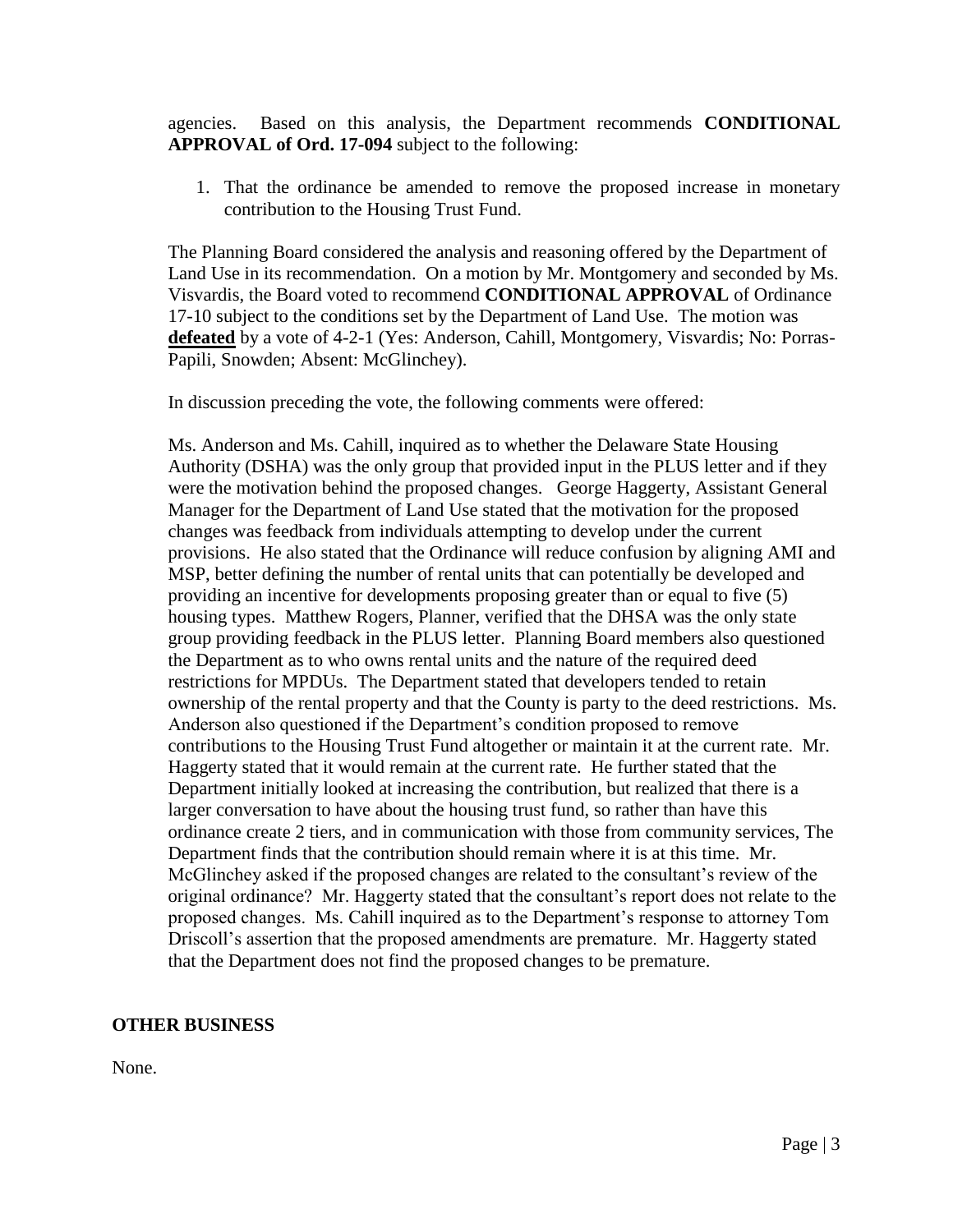agencies. Based on this analysis, the Department recommends **CONDITIONAL APPROVAL of Ord. 17-094** subject to the following:

1. That the ordinance be amended to remove the proposed increase in monetary contribution to the Housing Trust Fund.

The Planning Board considered the analysis and reasoning offered by the Department of Land Use in its recommendation. On a motion by Mr. Montgomery and seconded by Ms. Visvardis, the Board voted to recommend **CONDITIONAL APPROVAL** of Ordinance 17-10 subject to the conditions set by the Department of Land Use. The motion was defeated by a vote of 4-2-1 (Yes: Anderson, Cahill, Montgomery, Visvardis; No: Porras-Papili, Snowden; Absent: McGlinchey).

In discussion preceding the vote, the following comments were offered:

Ms. Anderson and Ms. Cahill, inquired as to whether the Delaware State Housing Authority (DSHA) was the only group that provided input in the PLUS letter and if they were the motivation behind the proposed changes. George Haggerty, Assistant General Manager for the Department of Land Use stated that the motivation for the proposed changes was feedback from individuals attempting to develop under the current provisions. He also stated that the Ordinance will reduce confusion by aligning AMI and MSP, better defining the number of rental units that can potentially be developed and providing an incentive for developments proposing greater than or equal to five (5) housing types. Matthew Rogers, Planner, verified that the DHSA was the only state group providing feedback in the PLUS letter. Planning Board members also questioned the Department as to who owns rental units and the nature of the required deed restrictions for MPDUs. The Department stated that developers tended to retain ownership of the rental property and that the County is party to the deed restrictions. Ms. Anderson also questioned if the Department's condition proposed to remove contributions to the Housing Trust Fund altogether or maintain it at the current rate. Mr. Haggerty stated that it would remain at the current rate. He further stated that the Department initially looked at increasing the contribution, but realized that there is a larger conversation to have about the housing trust fund, so rather than have this ordinance create 2 tiers, and in communication with those from community services, The Department finds that the contribution should remain where it is at this time. Mr. McGlinchey asked if the proposed changes are related to the consultant's review of the original ordinance? Mr. Haggerty stated that the consultant's report does not relate to the proposed changes. Ms. Cahill inquired as to the Department's response to attorney Tom Driscoll's assertion that the proposed amendments are premature. Mr. Haggerty stated that the Department does not find the proposed changes to be premature.

### **OTHER BUSINESS**

None.